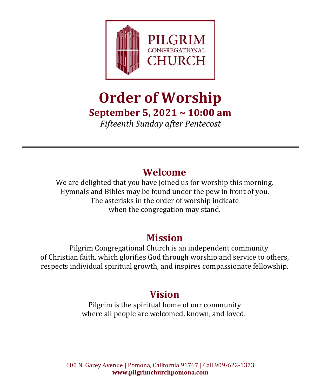

# **Order of Worship September 5, 2021 ~ 10:00 am**

*Fifteenth Sunday after Pentecost*

# **Welcome**

We are delighted that you have joined us for worship this morning. Hymnals and Bibles may be found under the pew in front of you. The asterisks in the order of worship indicate when the congregation may stand.

### **Mission**

Pilgrim Congregational Church is an independent community of Christian faith, which glorifies God through worship and service to others, respects individual spiritual growth, and inspires compassionate fellowship.

## **Vision**

Pilgrim is the spiritual home of our community where all people are welcomed, known, and loved.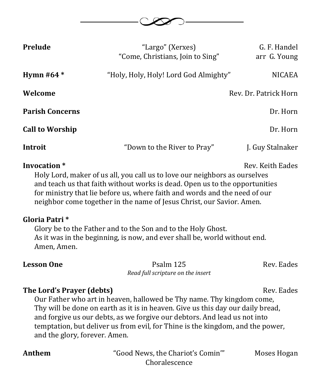

| Prelude                                                                                                                                                                                                                                                                                                                                              | "Largo" (Xerxes)<br>"Come, Christians, Join to Sing" | G. F. Handel<br>arr G. Young |  |
|------------------------------------------------------------------------------------------------------------------------------------------------------------------------------------------------------------------------------------------------------------------------------------------------------------------------------------------------------|------------------------------------------------------|------------------------------|--|
| Hymn #64 $*$                                                                                                                                                                                                                                                                                                                                         | "Holy, Holy, Holy! Lord God Almighty"                | <b>NICAEA</b>                |  |
| Welcome                                                                                                                                                                                                                                                                                                                                              |                                                      | Rev. Dr. Patrick Horn        |  |
| <b>Parish Concerns</b>                                                                                                                                                                                                                                                                                                                               |                                                      | Dr. Horn                     |  |
| <b>Call to Worship</b>                                                                                                                                                                                                                                                                                                                               |                                                      | Dr. Horn                     |  |
| Introit                                                                                                                                                                                                                                                                                                                                              | "Down to the River to Pray"                          | J. Guy Stalnaker             |  |
| Invocation *<br>Rev. Keith Eades<br>Holy Lord, maker of us all, you call us to love our neighbors as ourselves<br>and teach us that faith without works is dead. Open us to the opportunities<br>for ministry that lie before us, where faith and words and the need of our<br>neighbor come together in the name of Jesus Christ, our Savior. Amen. |                                                      |                              |  |
| Gloria Patri*                                                                                                                                                                                                                                                                                                                                        |                                                      |                              |  |

Glory be to the Father and to the Son and to the Holy Ghost. As it was in the beginning, is now, and ever shall be, world without end. Amen, Amen.

**Lesson One** Psalm 125 Rev. Eades *Read full scripture on the insert*

#### **The Lord's Prayer (debts)** Rev. Eades

Our Father who art in heaven, hallowed be Thy name. Thy kingdom come, Thy will be done on earth as it is in heaven. Give us this day our daily bread, and forgive us our debts, as we forgive our debtors. And lead us not into temptation, but deliver us from evil, for Thine is the kingdom, and the power, and the glory, forever. Amen.

Anthem **The Chariot's Comin''** Moses Hogan Choralescence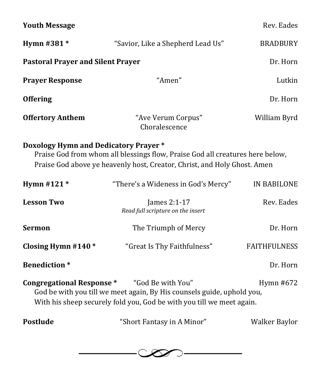| <b>Youth Message</b>                                                                                                                                                                                                 |                                                   | Rev. Eades          |  |
|----------------------------------------------------------------------------------------------------------------------------------------------------------------------------------------------------------------------|---------------------------------------------------|---------------------|--|
| Hymn #381 *                                                                                                                                                                                                          | "Savior, Like a Shepherd Lead Us"                 | <b>BRADBURY</b>     |  |
| <b>Pastoral Prayer and Silent Prayer</b>                                                                                                                                                                             | Dr. Horn                                          |                     |  |
| <b>Prayer Response</b>                                                                                                                                                                                               | "Amen"                                            | Lutkin              |  |
| <b>Offering</b>                                                                                                                                                                                                      |                                                   | Dr. Horn            |  |
| <b>Offertory Anthem</b>                                                                                                                                                                                              | "Ave Verum Corpus"<br>Choralescence               | William Byrd        |  |
| <b>Doxology Hymn and Dedicatory Prayer *</b><br>Praise God from whom all blessings flow, Praise God all creatures here below,<br>Praise God above ye heavenly host, Creator, Christ, and Holy Ghost. Amen            |                                                   |                     |  |
| Hymn #121 *                                                                                                                                                                                                          | "There's a Wideness in God's Mercy"               | IN BABILONE         |  |
| <b>Lesson Two</b>                                                                                                                                                                                                    | James 2:1-17<br>Read full scripture on the insert | Rev. Eades          |  |
| <b>Sermon</b>                                                                                                                                                                                                        | The Triumph of Mercy                              | Dr. Horn            |  |
| Closing Hymn #140 $*$                                                                                                                                                                                                | "Great Is Thy Faithfulness"                       | <b>FAITHFULNESS</b> |  |
| <b>Benediction</b> *                                                                                                                                                                                                 |                                                   | Dr. Horn            |  |
| <b>Congregational Response*</b><br>"God Be with You"<br>Hymn #672<br>God be with you till we meet again, By His counsels guide, uphold you,<br>With his sheep securely fold you, God be with you till we meet again. |                                                   |                     |  |
| Postlude                                                                                                                                                                                                             | "Short Fantasy in A Minor"                        | Walker Baylor       |  |

 $\overline{\phantom{a}}$  $\infty$ – (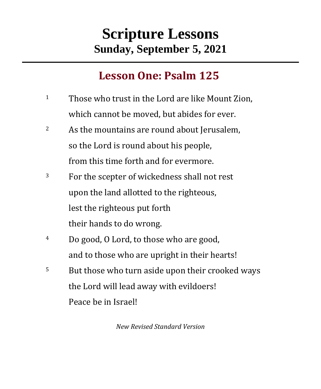# **Scripture Lessons Sunday, September 5, 2021**

# **Lesson One: Psalm 125**

- <sup>1</sup> Those who trust in the Lord are like Mount Zion, which cannot be moved, but abides for ever.
- <sup>2</sup> As the mountains are round about Jerusalem, so the Lord is round about his people, from this time forth and for evermore.
- <sup>3</sup> For the scepter of wickedness shall not rest upon the land allotted to the righteous, lest the righteous put forth their hands to do wrong.
- <sup>4</sup> Do good, O Lord, to those who are good, and to those who are upright in their hearts!
- <sup>5</sup> But those who turn aside upon their crooked ways the Lord will lead away with evildoers! Peace be in Israel!

*New Revised Standard Version*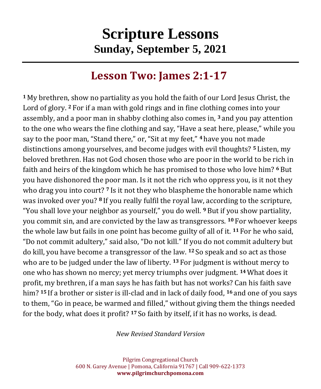# **Scripture Lessons Sunday, September 5, 2021**

# **Lesson Two: James 2:1-17**

**<sup>1</sup>** My brethren, show no partiality as you hold the faith of our Lord Jesus Christ, the Lord of glory. **<sup>2</sup>** For if a man with gold rings and in fine clothing comes into your assembly, and a poor man in shabby clothing also comes in, **<sup>3</sup>** and you pay attention to the one who wears the fine clothing and say, "Have a seat here, please," while you say to the poor man, "Stand there," or, "Sit at my feet," **<sup>4</sup>** have you not made distinctions among yourselves, and become judges with evil thoughts? **<sup>5</sup>** Listen, my beloved brethren. Has not God chosen those who are poor in the world to be rich in faith and heirs of the kingdom which he has promised to those who love him? **<sup>6</sup>** But you have dishonored the poor man. Is it not the rich who oppress you, is it not they who drag you into court? **<sup>7</sup>** Is it not they who blaspheme the honorable name which was invoked over you? **<sup>8</sup>** If you really fulfil the royal law, according to the scripture, "You shall love your neighbor as yourself," you do well. **<sup>9</sup>** But if you show partiality, you commit sin, and are convicted by the law as transgressors. **<sup>10</sup>** For whoever keeps the whole law but fails in one point has become guilty of all of it. **<sup>11</sup>** For he who said, "Do not commit adultery," said also, "Do not kill." If you do not commit adultery but do kill, you have become a transgressor of the law. **<sup>12</sup>** So speak and so act as those who are to be judged under the law of liberty. **<sup>13</sup>** For judgment is without mercy to one who has shown no mercy; yet mercy triumphs over judgment. **<sup>14</sup>**What does it profit, my brethren, if a man says he has faith but has not works? Can his faith save him? **<sup>15</sup>** If a brother or sister is ill-clad and in lack of daily food, **<sup>16</sup>** and one of you says to them, "Go in peace, be warmed and filled," without giving them the things needed for the body, what does it profit? **<sup>17</sup>** So faith by itself, if it has no works, is dead.

*New Revised Standard Version*

Pilgrim Congregational Church 600 N. Garey Avenue | Pomona, California 91767 | Call 909-622-1373 **www.pilgrimchurchpomona.com**